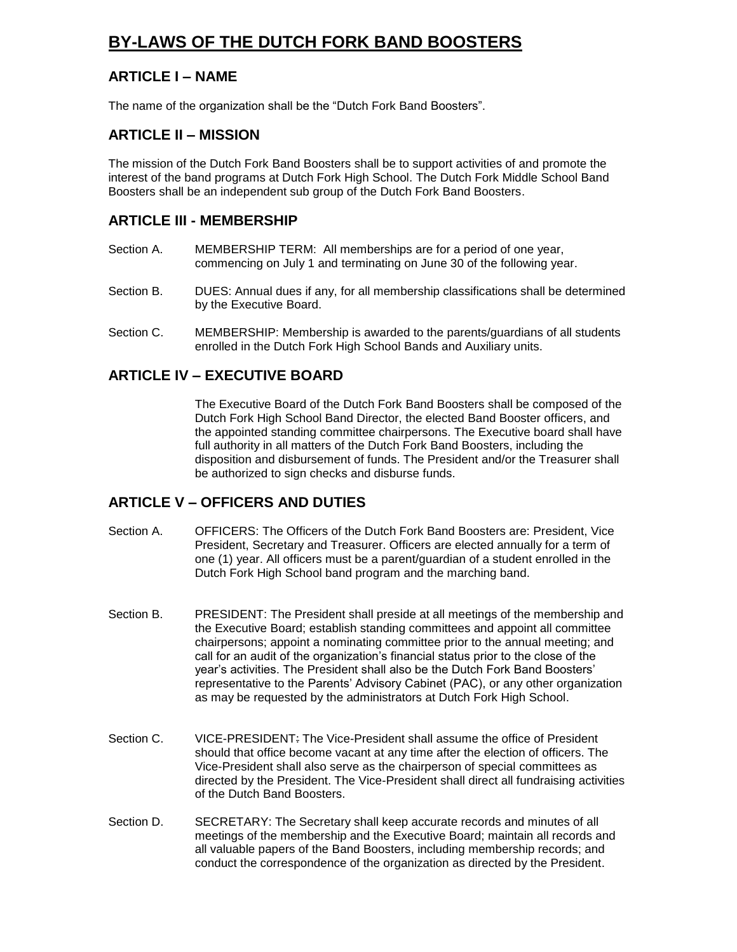# **BY-LAWS OF THE DUTCH FORK BAND BOOSTERS**

## **ARTICLE I – NAME**

The name of the organization shall be the "Dutch Fork Band Boosters".

#### **ARTICLE II – MISSION**

The mission of the Dutch Fork Band Boosters shall be to support activities of and promote the interest of the band programs at Dutch Fork High School. The Dutch Fork Middle School Band Boosters shall be an independent sub group of the Dutch Fork Band Boosters.

#### **ARTICLE III - MEMBERSHIP**

- Section A. MEMBERSHIP TERM: All memberships are for a period of one year, commencing on July 1 and terminating on June 30 of the following year.
- Section B. DUES: Annual dues if any, for all membership classifications shall be determined by the Executive Board.
- Section C. MEMBERSHIP: Membership is awarded to the parents/guardians of all students enrolled in the Dutch Fork High School Bands and Auxiliary units.

#### **ARTICLE IV – EXECUTIVE BOARD**

The Executive Board of the Dutch Fork Band Boosters shall be composed of the Dutch Fork High School Band Director, the elected Band Booster officers, and the appointed standing committee chairpersons. The Executive board shall have full authority in all matters of the Dutch Fork Band Boosters, including the disposition and disbursement of funds. The President and/or the Treasurer shall be authorized to sign checks and disburse funds.

#### **ARTICLE V – OFFICERS AND DUTIES**

- Section A. OFFICERS: The Officers of the Dutch Fork Band Boosters are: President, Vice President, Secretary and Treasurer. Officers are elected annually for a term of one (1) year. All officers must be a parent/guardian of a student enrolled in the Dutch Fork High School band program and the marching band.
- Section B. PRESIDENT: The President shall preside at all meetings of the membership and the Executive Board; establish standing committees and appoint all committee chairpersons; appoint a nominating committee prior to the annual meeting; and call for an audit of the organization's financial status prior to the close of the year's activities. The President shall also be the Dutch Fork Band Boosters' representative to the Parents' Advisory Cabinet (PAC), or any other organization as may be requested by the administrators at Dutch Fork High School.
- Section C. VICE-PRESIDENT: The Vice-President shall assume the office of President should that office become vacant at any time after the election of officers. The Vice-President shall also serve as the chairperson of special committees as directed by the President. The Vice-President shall direct all fundraising activities of the Dutch Band Boosters.
- Section D. SECRETARY: The Secretary shall keep accurate records and minutes of all meetings of the membership and the Executive Board; maintain all records and all valuable papers of the Band Boosters, including membership records; and conduct the correspondence of the organization as directed by the President.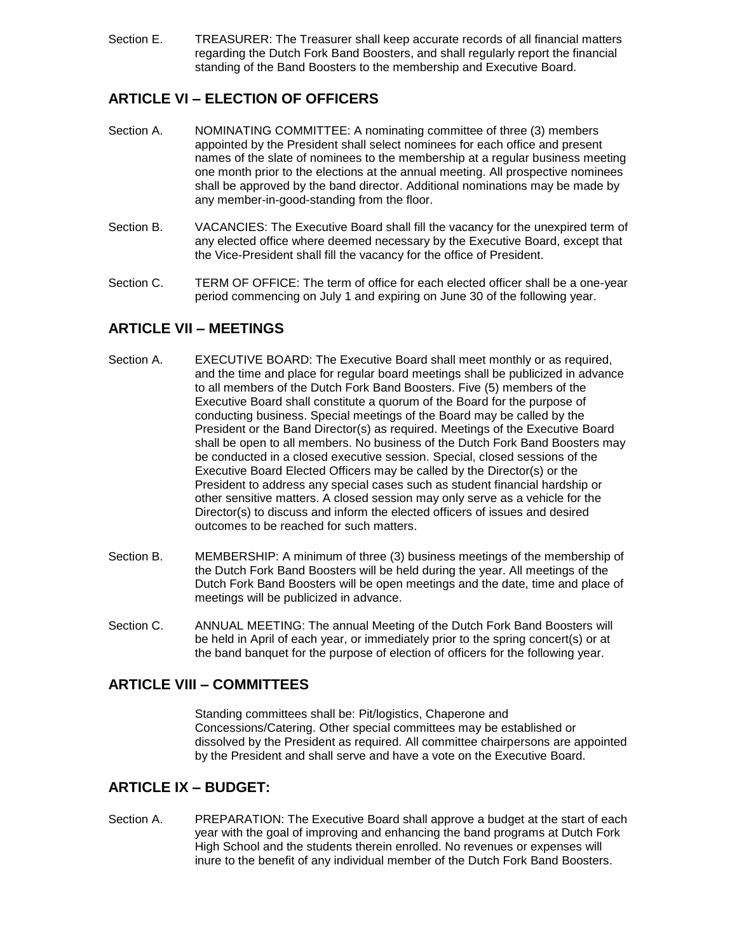Section E. TREASURER: The Treasurer shall keep accurate records of all financial matters regarding the Dutch Fork Band Boosters, and shall regularly report the financial standing of the Band Boosters to the membership and Executive Board.

# **ARTICLE VI – ELECTION OF OFFICERS**

- Section A. NOMINATING COMMITTEE: A nominating committee of three (3) members appointed by the President shall select nominees for each office and present names of the slate of nominees to the membership at a regular business meeting one month prior to the elections at the annual meeting. All prospective nominees shall be approved by the band director. Additional nominations may be made by any member-in-good-standing from the floor.
- Section B. VACANCIES: The Executive Board shall fill the vacancy for the unexpired term of any elected office where deemed necessary by the Executive Board, except that the Vice-President shall fill the vacancy for the office of President.
- Section C. TERM OF OFFICE: The term of office for each elected officer shall be a one-year period commencing on July 1 and expiring on June 30 of the following year.

## **ARTICLE VII – MEETINGS**

- Section A. EXECUTIVE BOARD: The Executive Board shall meet monthly or as required, and the time and place for regular board meetings shall be publicized in advance to all members of the Dutch Fork Band Boosters. Five (5) members of the Executive Board shall constitute a quorum of the Board for the purpose of conducting business. Special meetings of the Board may be called by the President or the Band Director(s) as required. Meetings of the Executive Board shall be open to all members. No business of the Dutch Fork Band Boosters may be conducted in a closed executive session. Special, closed sessions of the Executive Board Elected Officers may be called by the Director(s) or the President to address any special cases such as student financial hardship or other sensitive matters. A closed session may only serve as a vehicle for the Director(s) to discuss and inform the elected officers of issues and desired outcomes to be reached for such matters.
- Section B. MEMBERSHIP: A minimum of three (3) business meetings of the membership of the Dutch Fork Band Boosters will be held during the year. All meetings of the Dutch Fork Band Boosters will be open meetings and the date, time and place of meetings will be publicized in advance.
- Section C. ANNUAL MEETING: The annual Meeting of the Dutch Fork Band Boosters will be held in April of each year, or immediately prior to the spring concert(s) or at the band banquet for the purpose of election of officers for the following year.

#### **ARTICLE VIII – COMMITTEES**

Standing committees shall be: Pit/logistics, Chaperone and Concessions/Catering. Other special committees may be established or dissolved by the President as required. All committee chairpersons are appointed by the President and shall serve and have a vote on the Executive Board.

#### **ARTICLE IX – BUDGET:**

Section A. PREPARATION: The Executive Board shall approve a budget at the start of each year with the goal of improving and enhancing the band programs at Dutch Fork High School and the students therein enrolled. No revenues or expenses will inure to the benefit of any individual member of the Dutch Fork Band Boosters.